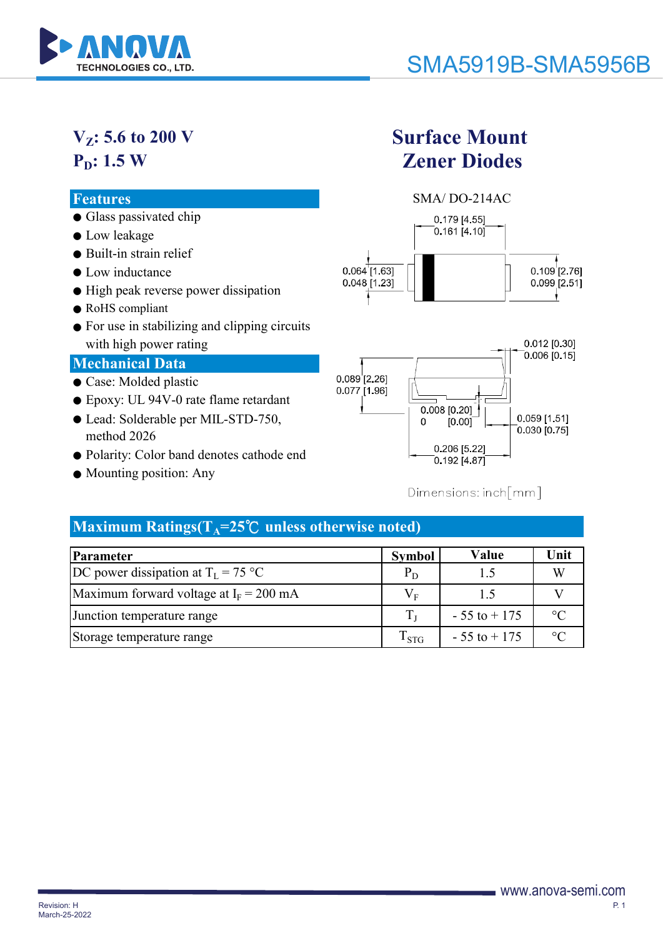

# $V_{Z}$ : 5.6 to 200 V **P<sub>D</sub>: 1.5 W**

- Glass passivated chip
- Low leakage
- Built-in strain relief
- Low inductance
- High peak reverse power dissipation
- RoHS compliant
- For use in stabilizing and clipping circuits with high power rating

## **Mechanical Data**

- Case: Molded plastic
- Epoxy: UL 94V-0 rate flame retardant
- Lead: Solderable per MIL-STD-750, method 2026
- Polarity: Color band denotes cathode end
- Mounting position: Any

# **Surface Mount Zener Diodes**





## Dimensions: inch[mm]

## Maximum Ratings( $T_A$ =25°C unless otherwise noted)

| Parameter                                     | <b>Symbol</b>          | Value           | Unit        |
|-----------------------------------------------|------------------------|-----------------|-------------|
| DC power dissipation at $T_I = 75 \text{ °C}$ | $P_D$                  | 1.5             |             |
| Maximum forward voltage at $I_F = 200$ mA     | $V_{\textrm{\tiny E}}$ | $\overline{1}$  |             |
| Junction temperature range                    |                        | $-55$ to $+175$ | $^{\circ}C$ |
| Storage temperature range                     | $T_{STG}$              | $-55$ to $+175$ | $\circ$     |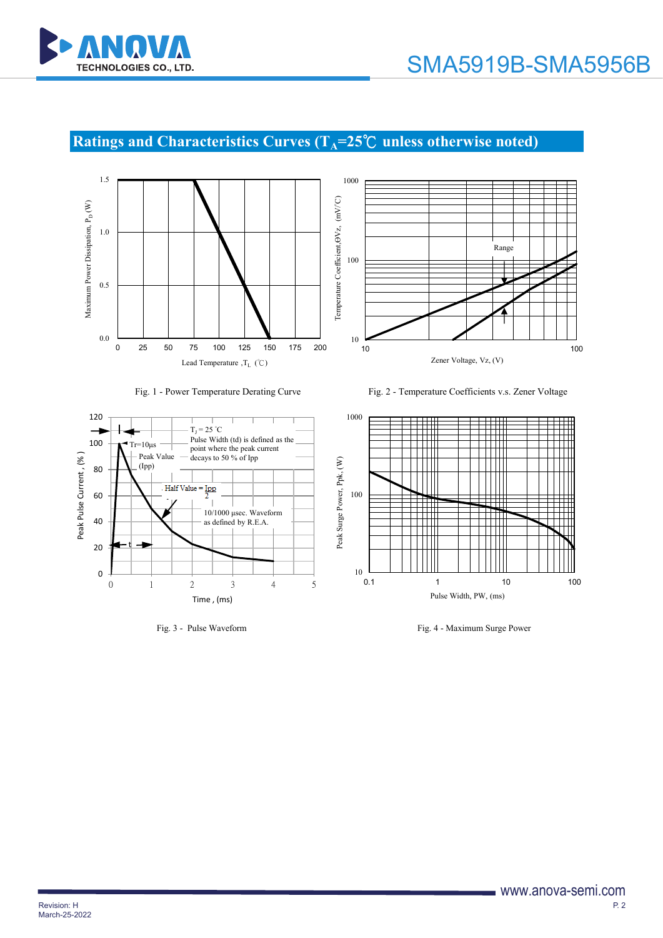

# **Ratings and Characteristics Curves (T<sub>A</sub>=25℃ unless otherwise noted)**







Fig. 1 - Power Temperature Derating Curve Fig. 2 - Temperature Coefficients v.s. Zener Voltage





Fig. 3 - Pulse Waveform Fig. 4 - Maximum Surge Power